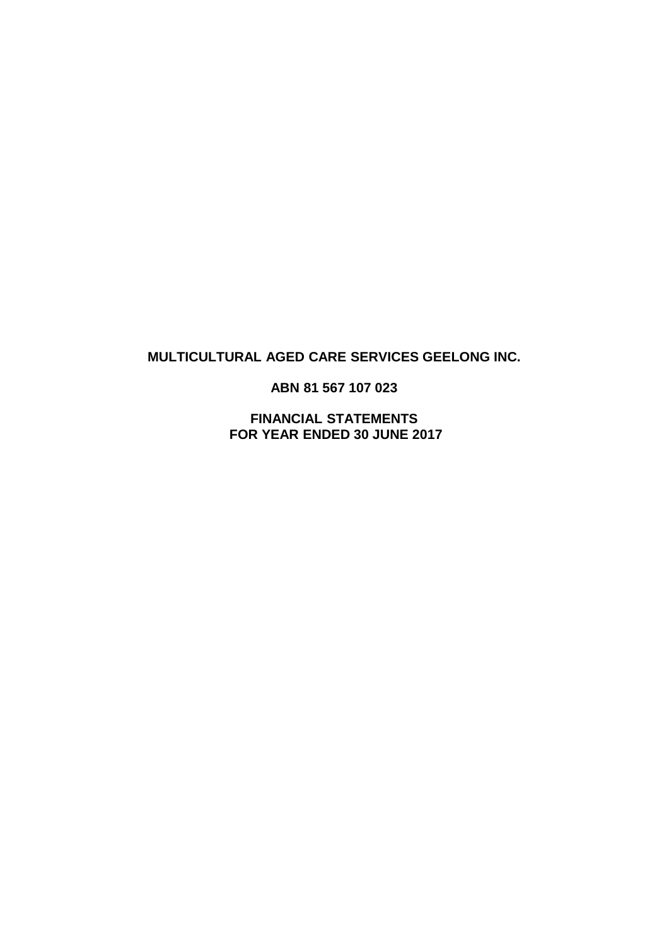# **MULTICULTURAL AGED CARE SERVICES GEELONG INC.**

**ABN 81 567 107 023**

**FINANCIAL STATEMENTS FOR YEAR ENDED 30 JUNE 2017**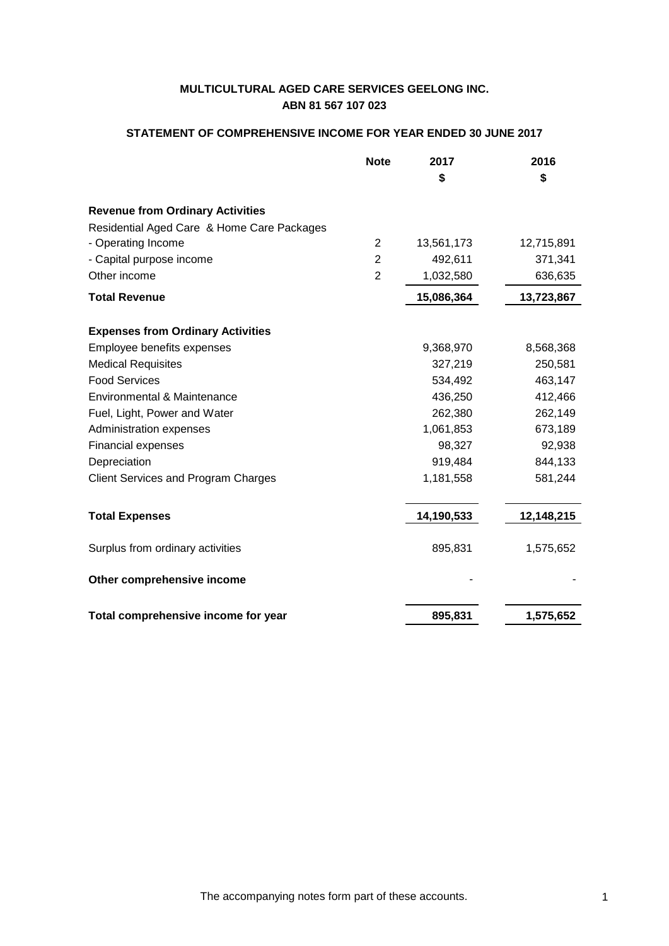# **STATEMENT OF COMPREHENSIVE INCOME FOR YEAR ENDED 30 JUNE 2017**

| <b>Note</b>                                | 2017       | 2016       |
|--------------------------------------------|------------|------------|
|                                            | \$         | \$         |
| <b>Revenue from Ordinary Activities</b>    |            |            |
| Residential Aged Care & Home Care Packages |            |            |
| - Operating Income<br>$\overline{2}$       | 13,561,173 | 12,715,891 |
| $\overline{2}$<br>- Capital purpose income | 492,611    | 371,341    |
| Other income<br>$\overline{2}$             | 1,032,580  | 636,635    |
| <b>Total Revenue</b>                       | 15,086,364 | 13,723,867 |
| <b>Expenses from Ordinary Activities</b>   |            |            |
| Employee benefits expenses                 | 9,368,970  | 8,568,368  |
| <b>Medical Requisites</b>                  | 327,219    | 250,581    |
| <b>Food Services</b>                       | 534,492    | 463,147    |
| Environmental & Maintenance                | 436,250    | 412,466    |
| Fuel, Light, Power and Water               | 262,380    | 262,149    |
| Administration expenses                    | 1,061,853  | 673,189    |
| Financial expenses                         | 98,327     | 92,938     |
| Depreciation                               | 919,484    | 844,133    |
| <b>Client Services and Program Charges</b> | 1,181,558  | 581,244    |
| <b>Total Expenses</b>                      | 14,190,533 | 12,148,215 |
| Surplus from ordinary activities           | 895,831    | 1,575,652  |
| Other comprehensive income                 |            |            |
| Total comprehensive income for year        | 895,831    | 1,575,652  |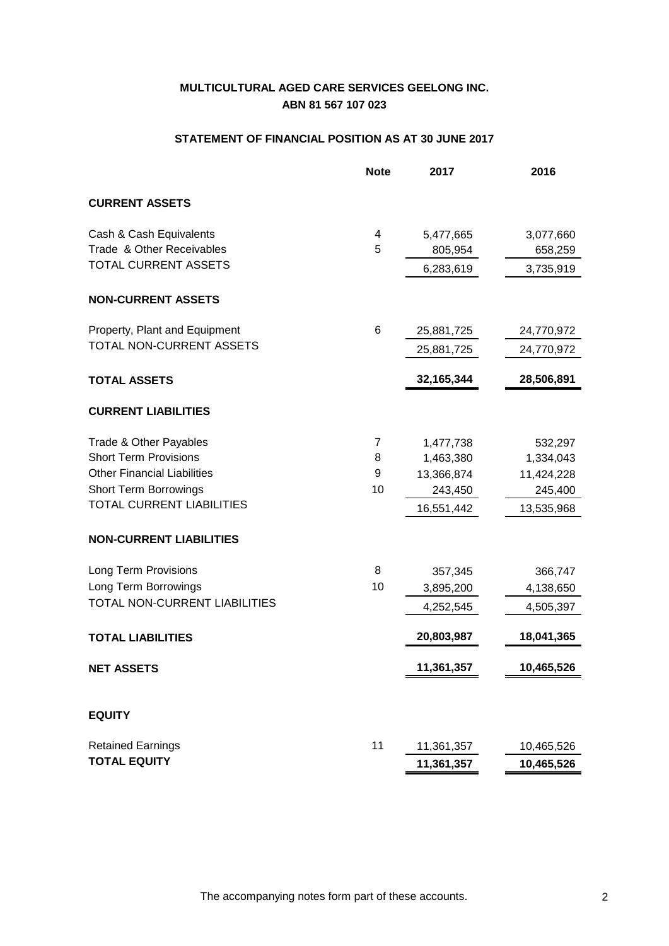# **STATEMENT OF FINANCIAL POSITION AS AT 30 JUNE 2017**

|                                    | <b>Note</b> | 2017         | 2016       |
|------------------------------------|-------------|--------------|------------|
| <b>CURRENT ASSETS</b>              |             |              |            |
| Cash & Cash Equivalents            | 4           | 5,477,665    | 3,077,660  |
| Trade & Other Receivables          | 5           | 805,954      | 658,259    |
| <b>TOTAL CURRENT ASSETS</b>        |             | 6,283,619    | 3,735,919  |
| <b>NON-CURRENT ASSETS</b>          |             |              |            |
| Property, Plant and Equipment      | 6           | 25,881,725   | 24,770,972 |
| TOTAL NON-CURRENT ASSETS           |             | 25,881,725   | 24,770,972 |
| <b>TOTAL ASSETS</b>                |             | 32, 165, 344 | 28,506,891 |
| <b>CURRENT LIABILITIES</b>         |             |              |            |
| Trade & Other Payables             | 7           | 1,477,738    | 532,297    |
| <b>Short Term Provisions</b>       | 8           | 1,463,380    | 1,334,043  |
| <b>Other Financial Liabilities</b> | 9           | 13,366,874   | 11,424,228 |
| <b>Short Term Borrowings</b>       | 10          | 243,450      | 245,400    |
| <b>TOTAL CURRENT LIABILITIES</b>   |             | 16,551,442   | 13,535,968 |
| <b>NON-CURRENT LIABILITIES</b>     |             |              |            |
| Long Term Provisions               | 8           | 357,345      | 366,747    |
| Long Term Borrowings               | 10          | 3,895,200    | 4,138,650  |
| TOTAL NON-CURRENT LIABILITIES      |             | 4,252,545    | 4,505,397  |
| <b>TOTAL LIABILITIES</b>           |             | 20,803,987   | 18,041,365 |
| <b>NET ASSETS</b>                  |             | 11,361,357   | 10,465,526 |
|                                    |             |              |            |
| <b>EQUITY</b>                      |             |              |            |
| <b>Retained Earnings</b>           | 11          | 11,361,357   | 10,465,526 |
| <b>TOTAL EQUITY</b>                |             | 11,361,357   | 10,465,526 |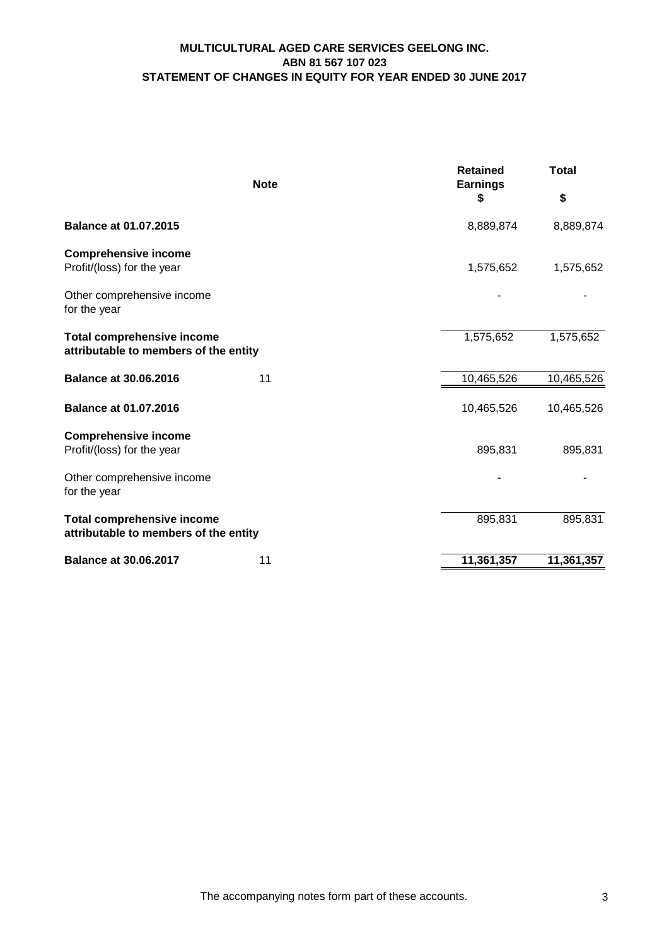# **MULTICULTURAL AGED CARE SERVICES GEELONG INC. ABN 81 567 107 023 STATEMENT OF CHANGES IN EQUITY FOR YEAR ENDED 30 JUNE 2017**

| <b>Note</b>                                                                | <b>Retained</b><br><b>Earnings</b> | <b>Total</b> |
|----------------------------------------------------------------------------|------------------------------------|--------------|
|                                                                            | \$                                 | \$           |
| <b>Balance at 01.07.2015</b>                                               | 8,889,874                          | 8,889,874    |
| <b>Comprehensive income</b><br>Profit/(loss) for the year                  | 1,575,652                          | 1,575,652    |
| Other comprehensive income<br>for the year                                 |                                    |              |
| <b>Total comprehensive income</b><br>attributable to members of the entity | 1,575,652                          | 1,575,652    |
| <b>Balance at 30.06.2016</b><br>11                                         | 10,465,526                         | 10,465,526   |
| <b>Balance at 01.07.2016</b>                                               | 10,465,526                         | 10,465,526   |
| <b>Comprehensive income</b><br>Profit/(loss) for the year                  | 895,831                            | 895,831      |
| Other comprehensive income<br>for the year                                 |                                    |              |
| <b>Total comprehensive income</b><br>attributable to members of the entity | 895,831                            | 895,831      |
| <b>Balance at 30.06.2017</b><br>11                                         | 11,361,357                         | 11,361,357   |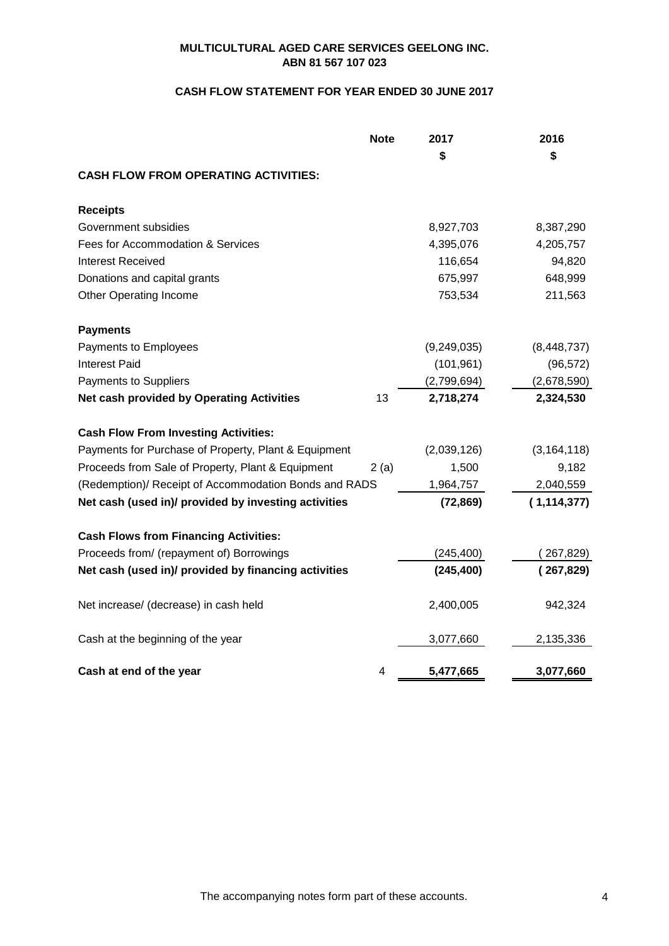# **CASH FLOW STATEMENT FOR YEAR ENDED 30 JUNE 2017**

|                                                       | <b>Note</b> | 2017        | 2016          |
|-------------------------------------------------------|-------------|-------------|---------------|
|                                                       |             | \$          | \$            |
| <b>CASH FLOW FROM OPERATING ACTIVITIES:</b>           |             |             |               |
| <b>Receipts</b>                                       |             |             |               |
| Government subsidies                                  |             | 8,927,703   | 8,387,290     |
| Fees for Accommodation & Services                     |             | 4,395,076   | 4,205,757     |
| <b>Interest Received</b>                              |             | 116,654     | 94,820        |
| Donations and capital grants                          |             | 675,997     | 648,999       |
| Other Operating Income                                |             | 753,534     | 211,563       |
| <b>Payments</b>                                       |             |             |               |
| Payments to Employees                                 |             | (9,249,035) | (8, 448, 737) |
| Interest Paid                                         |             | (101, 961)  | (96, 572)     |
| Payments to Suppliers                                 |             | (2,799,694) | (2,678,590)   |
| <b>Net cash provided by Operating Activities</b>      | 13          | 2,718,274   | 2,324,530     |
| <b>Cash Flow From Investing Activities:</b>           |             |             |               |
| Payments for Purchase of Property, Plant & Equipment  |             | (2,039,126) | (3, 164, 118) |
| Proceeds from Sale of Property, Plant & Equipment     | 2(a)        | 1,500       | 9,182         |
| (Redemption)/ Receipt of Accommodation Bonds and RADS |             | 1,964,757   | 2,040,559     |
| Net cash (used in)/ provided by investing activities  |             | (72, 869)   | (1, 114, 377) |
| <b>Cash Flows from Financing Activities:</b>          |             |             |               |
| Proceeds from/ (repayment of) Borrowings              |             | (245, 400)  | (267, 829)    |
| Net cash (used in)/ provided by financing activities  |             | (245, 400)  | (267, 829)    |
| Net increase/ (decrease) in cash held                 |             | 2,400,005   | 942,324       |
| Cash at the beginning of the year                     |             | 3,077,660   | 2,135,336     |
| Cash at end of the year                               | 4           | 5,477,665   | 3,077,660     |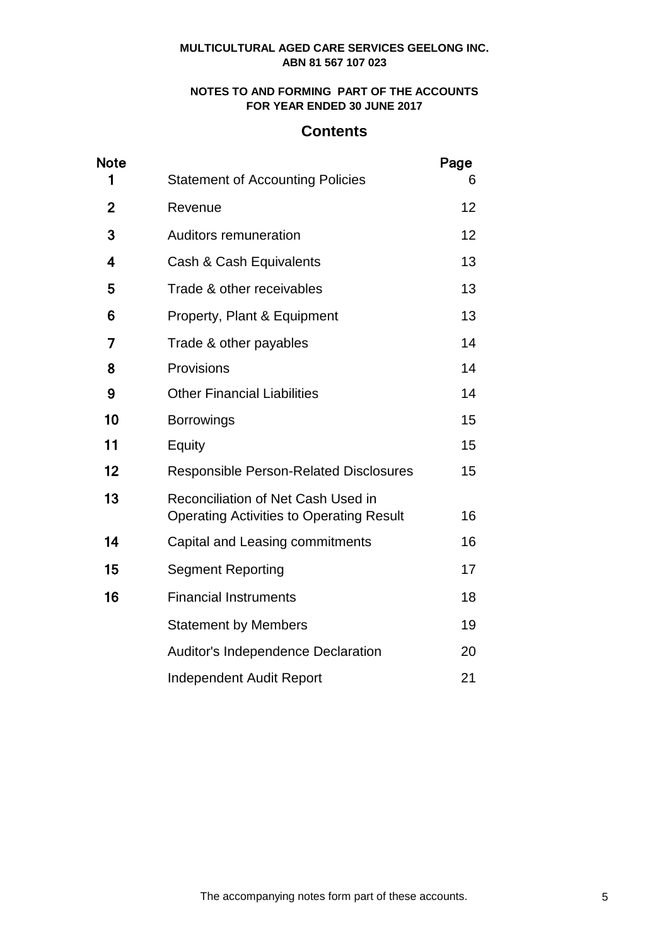# **NOTES TO AND FORMING PART OF THE ACCOUNTS FOR YEAR ENDED 30 JUNE 2017**

# **Contents**

| <b>Note</b>             |                                                                                       | Page |
|-------------------------|---------------------------------------------------------------------------------------|------|
| 1                       | <b>Statement of Accounting Policies</b>                                               | 6    |
| $\mathbf 2$             | Revenue                                                                               | 12   |
| 3                       | <b>Auditors remuneration</b>                                                          | 12   |
| $\overline{\mathbf{4}}$ | Cash & Cash Equivalents                                                               | 13   |
| 5                       | Trade & other receivables                                                             | 13   |
| 6                       | Property, Plant & Equipment                                                           | 13   |
| 7                       | Trade & other payables                                                                | 14   |
| 8                       | Provisions                                                                            | 14   |
| 9                       | <b>Other Financial Liabilities</b>                                                    | 14   |
| 10                      | <b>Borrowings</b>                                                                     | 15   |
| 11                      | Equity                                                                                | 15   |
| 12                      | <b>Responsible Person-Related Disclosures</b>                                         | 15   |
| 13                      | Reconciliation of Net Cash Used in<br><b>Operating Activities to Operating Result</b> | 16   |
| 14                      | Capital and Leasing commitments                                                       | 16   |
| 15                      | <b>Segment Reporting</b>                                                              | 17   |
| 16                      | <b>Financial Instruments</b>                                                          | 18   |
|                         | <b>Statement by Members</b>                                                           | 19   |
|                         | <b>Auditor's Independence Declaration</b>                                             | 20   |
|                         | <b>Independent Audit Report</b>                                                       | 21   |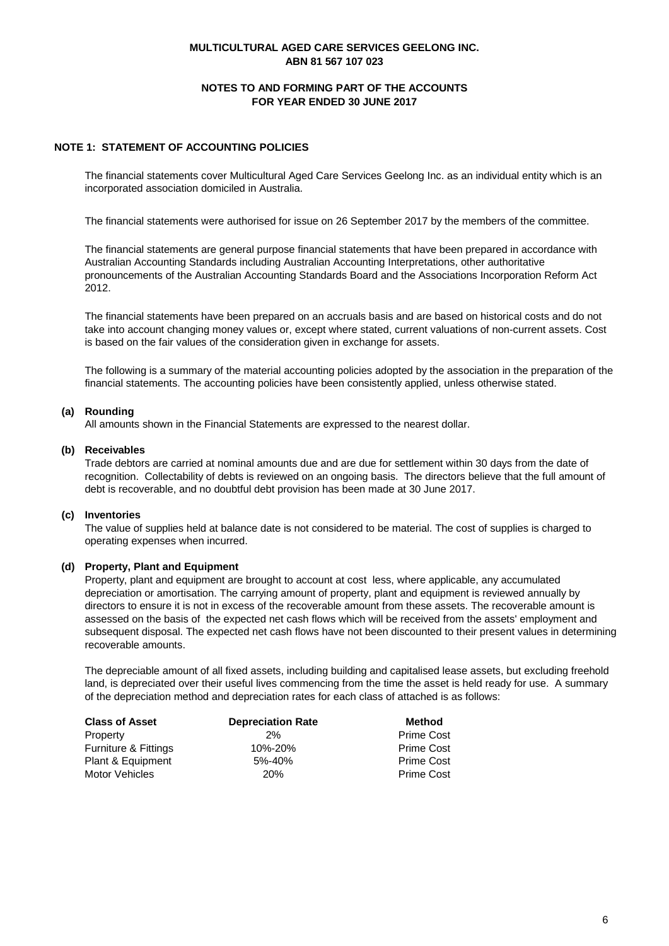### **NOTES TO AND FORMING PART OF THE ACCOUNTS FOR YEAR ENDED 30 JUNE 2017**

### **NOTE 1: STATEMENT OF ACCOUNTING POLICIES**

The financial statements cover Multicultural Aged Care Services Geelong Inc. as an individual entity which is an incorporated association domiciled in Australia.

The financial statements were authorised for issue on 26 September 2017 by the members of the committee.

The financial statements are general purpose financial statements that have been prepared in accordance with Australian Accounting Standards including Australian Accounting Interpretations, other authoritative pronouncements of the Australian Accounting Standards Board and the Associations Incorporation Reform Act 2012.

The financial statements have been prepared on an accruals basis and are based on historical costs and do not take into account changing money values or, except where stated, current valuations of non-current assets. Cost is based on the fair values of the consideration given in exchange for assets.

The following is a summary of the material accounting policies adopted by the association in the preparation of the financial statements. The accounting policies have been consistently applied, unless otherwise stated.

#### **(a) Rounding**

All amounts shown in the Financial Statements are expressed to the nearest dollar.

#### **(b) Receivables**

Trade debtors are carried at nominal amounts due and are due for settlement within 30 days from the date of recognition. Collectability of debts is reviewed on an ongoing basis. The directors believe that the full amount of debt is recoverable, and no doubtful debt provision has been made at 30 June 2017.

#### **(c) Inventories**

The value of supplies held at balance date is not considered to be material. The cost of supplies is charged to operating expenses when incurred.

#### **(d) Property, Plant and Equipment**

Property, plant and equipment are brought to account at cost less, where applicable, any accumulated depreciation or amortisation. The carrying amount of property, plant and equipment is reviewed annually by directors to ensure it is not in excess of the recoverable amount from these assets. The recoverable amount is assessed on the basis of the expected net cash flows which will be received from the assets' employment and subsequent disposal. The expected net cash flows have not been discounted to their present values in determining recoverable amounts.

The depreciable amount of all fixed assets, including building and capitalised lease assets, but excluding freehold land, is depreciated over their useful lives commencing from the time the asset is held ready for use. A summary of the depreciation method and depreciation rates for each class of attached is as follows:

| <b>Class of Asset</b>           | <b>Depreciation Rate</b> | Method            |
|---------------------------------|--------------------------|-------------------|
| Property                        | 2%                       | <b>Prime Cost</b> |
| <b>Furniture &amp; Fittings</b> | 10%-20%                  | <b>Prime Cost</b> |
| Plant & Equipment               | 5%-40%                   | <b>Prime Cost</b> |
| Motor Vehicles                  | 20 <sub>%</sub>          | <b>Prime Cost</b> |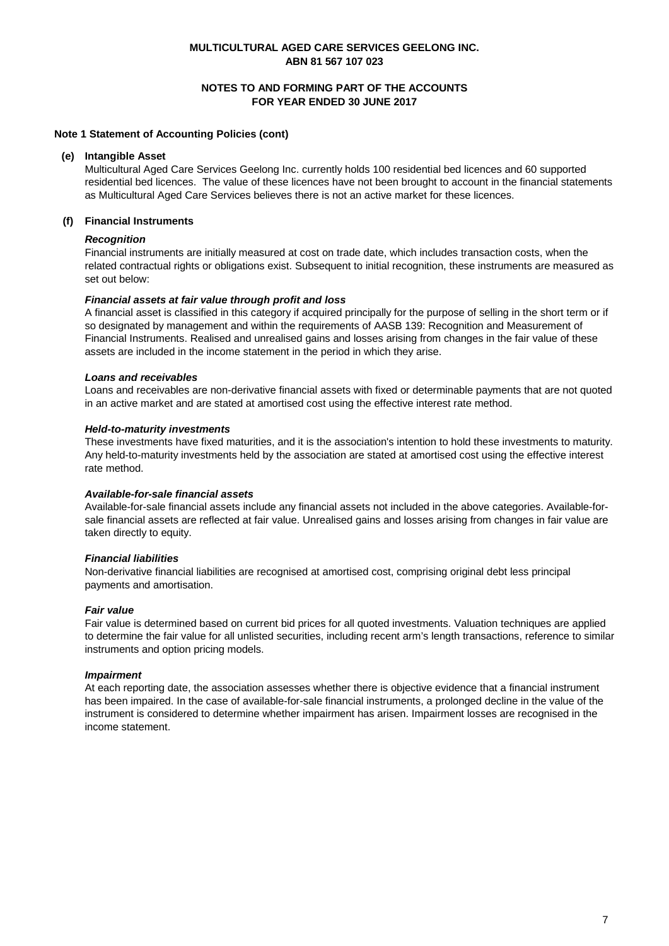### **NOTES TO AND FORMING PART OF THE ACCOUNTS FOR YEAR ENDED 30 JUNE 2017**

#### **Note 1 Statement of Accounting Policies (cont)**

#### **(e) Intangible Asset**

Multicultural Aged Care Services Geelong Inc. currently holds 100 residential bed licences and 60 supported residential bed licences. The value of these licences have not been brought to account in the financial statements as Multicultural Aged Care Services believes there is not an active market for these licences.

#### **(f) Financial Instruments**

#### *Recognition*

Financial instruments are initially measured at cost on trade date, which includes transaction costs, when the related contractual rights or obligations exist. Subsequent to initial recognition, these instruments are measured as set out below:

#### *Financial assets at fair value through profit and loss*

A financial asset is classified in this category if acquired principally for the purpose of selling in the short term or if so designated by management and within the requirements of AASB 139: Recognition and Measurement of Financial Instruments. Realised and unrealised gains and losses arising from changes in the fair value of these assets are included in the income statement in the period in which they arise.

#### *Loans and receivables*

Loans and receivables are non-derivative financial assets with fixed or determinable payments that are not quoted in an active market and are stated at amortised cost using the effective interest rate method.

#### *Held-to-maturity investments*

These investments have fixed maturities, and it is the association's intention to hold these investments to maturity. Any held-to-maturity investments held by the association are stated at amortised cost using the effective interest rate method.

#### *Available-for-sale financial assets*

Available-for-sale financial assets include any financial assets not included in the above categories. Available-forsale financial assets are reflected at fair value. Unrealised gains and losses arising from changes in fair value are taken directly to equity.

#### *Financial liabilities*

Non-derivative financial liabilities are recognised at amortised cost, comprising original debt less principal payments and amortisation.

#### *Fair value*

Fair value is determined based on current bid prices for all quoted investments. Valuation techniques are applied to determine the fair value for all unlisted securities, including recent arm's length transactions, reference to similar instruments and option pricing models.

#### *Impairment*

At each reporting date, the association assesses whether there is objective evidence that a financial instrument has been impaired. In the case of available-for-sale financial instruments, a prolonged decline in the value of the instrument is considered to determine whether impairment has arisen. Impairment losses are recognised in the income statement.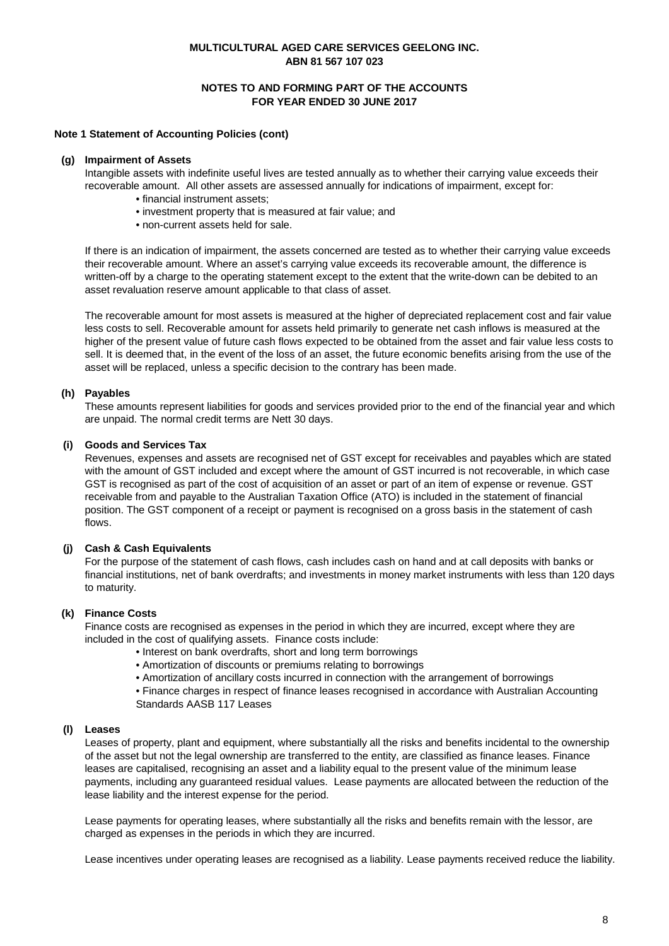### **NOTES TO AND FORMING PART OF THE ACCOUNTS FOR YEAR ENDED 30 JUNE 2017**

#### **Note 1 Statement of Accounting Policies (cont)**

#### **(g) Impairment of Assets**

Intangible assets with indefinite useful lives are tested annually as to whether their carrying value exceeds their recoverable amount. All other assets are assessed annually for indications of impairment, except for:

- financial instrument assets;
- investment property that is measured at fair value; and
- non-current assets held for sale.

If there is an indication of impairment, the assets concerned are tested as to whether their carrying value exceeds their recoverable amount. Where an asset's carrying value exceeds its recoverable amount, the difference is written-off by a charge to the operating statement except to the extent that the write-down can be debited to an asset revaluation reserve amount applicable to that class of asset.

The recoverable amount for most assets is measured at the higher of depreciated replacement cost and fair value less costs to sell. Recoverable amount for assets held primarily to generate net cash inflows is measured at the higher of the present value of future cash flows expected to be obtained from the asset and fair value less costs to sell. It is deemed that, in the event of the loss of an asset, the future economic benefits arising from the use of the asset will be replaced, unless a specific decision to the contrary has been made.

#### **(h) Payables**

These amounts represent liabilities for goods and services provided prior to the end of the financial year and which are unpaid. The normal credit terms are Nett 30 days.

#### **(i) Goods and Services Tax**

Revenues, expenses and assets are recognised net of GST except for receivables and payables which are stated with the amount of GST included and except where the amount of GST incurred is not recoverable, in which case GST is recognised as part of the cost of acquisition of an asset or part of an item of expense or revenue. GST receivable from and payable to the Australian Taxation Office (ATO) is included in the statement of financial position. The GST component of a receipt or payment is recognised on a gross basis in the statement of cash flows.

#### **(j) Cash & Cash Equivalents**

For the purpose of the statement of cash flows, cash includes cash on hand and at call deposits with banks or financial institutions, net of bank overdrafts; and investments in money market instruments with less than 120 days to maturity.

#### **(k) Finance Costs**

Finance costs are recognised as expenses in the period in which they are incurred, except where they are included in the cost of qualifying assets. Finance costs include:

- Interest on bank overdrafts, short and long term borrowings
- Amortization of discounts or premiums relating to borrowings
- Amortization of ancillary costs incurred in connection with the arrangement of borrowings

• Finance charges in respect of finance leases recognised in accordance with Australian Accounting Standards AASB 117 Leases

#### **(l) Leases**

Leases of property, plant and equipment, where substantially all the risks and benefits incidental to the ownership of the asset but not the legal ownership are transferred to the entity, are classified as finance leases. Finance leases are capitalised, recognising an asset and a liability equal to the present value of the minimum lease payments, including any guaranteed residual values. Lease payments are allocated between the reduction of the lease liability and the interest expense for the period.

Lease payments for operating leases, where substantially all the risks and benefits remain with the lessor, are charged as expenses in the periods in which they are incurred.

Lease incentives under operating leases are recognised as a liability. Lease payments received reduce the liability.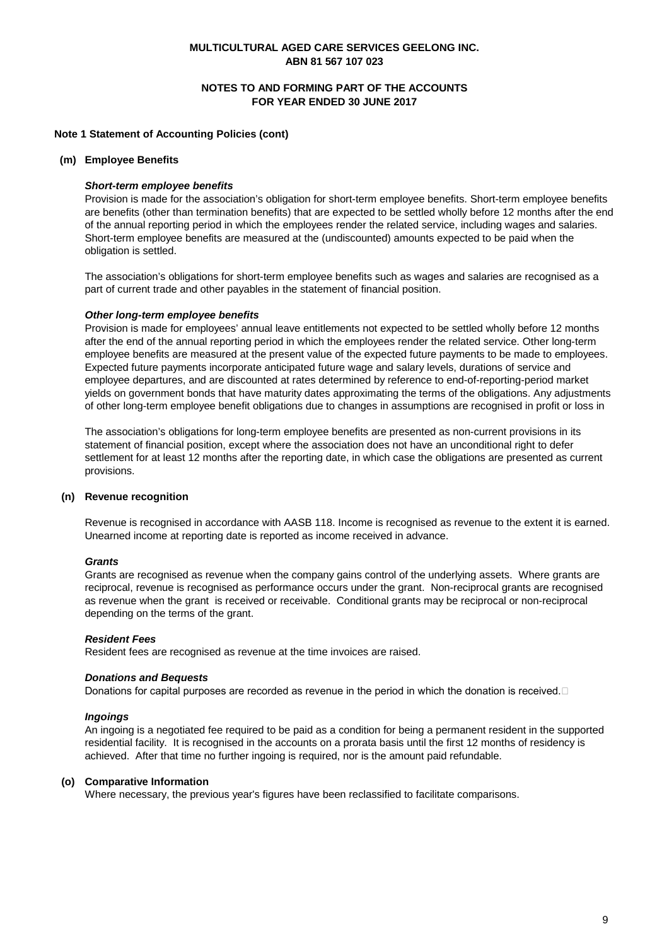### **NOTES TO AND FORMING PART OF THE ACCOUNTS FOR YEAR ENDED 30 JUNE 2017**

#### **Note 1 Statement of Accounting Policies (cont)**

#### **(m) Employee Benefits**

#### *Short-term employee benefits*

Provision is made for the association's obligation for short-term employee benefits. Short-term employee benefits are benefits (other than termination benefits) that are expected to be settled wholly before 12 months after the end of the annual reporting period in which the employees render the related service, including wages and salaries. Short-term employee benefits are measured at the (undiscounted) amounts expected to be paid when the obligation is settled.

The association's obligations for short-term employee benefits such as wages and salaries are recognised as a part of current trade and other payables in the statement of financial position.

#### *Other long-term employee benefits*

Provision is made for employees' annual leave entitlements not expected to be settled wholly before 12 months after the end of the annual reporting period in which the employees render the related service. Other long-term employee benefits are measured at the present value of the expected future payments to be made to employees. Expected future payments incorporate anticipated future wage and salary levels, durations of service and employee departures, and are discounted at rates determined by reference to end-of-reporting-period market yields on government bonds that have maturity dates approximating the terms of the obligations. Any adjustments of other long-term employee benefit obligations due to changes in assumptions are recognised in profit or loss in

The association's obligations for long-term employee benefits are presented as non-current provisions in its statement of financial position, except where the association does not have an unconditional right to defer settlement for at least 12 months after the reporting date, in which case the obligations are presented as current provisions.

#### **(n) Revenue recognition**

Revenue is recognised in accordance with AASB 118. Income is recognised as revenue to the extent it is earned. Unearned income at reporting date is reported as income received in advance.

#### *Grants*

Grants are recognised as revenue when the company gains control of the underlying assets. Where grants are reciprocal, revenue is recognised as performance occurs under the grant. Non-reciprocal grants are recognised as revenue when the grant is received or receivable. Conditional grants may be reciprocal or non-reciprocal depending on the terms of the grant.

#### *Resident Fees*

Resident fees are recognised as revenue at the time invoices are raised.

#### *Donations and Bequests*

Donations for capital purposes are recorded as revenue in the period in which the donation is received. $\Box$ 

#### *Ingoings*

An ingoing is a negotiated fee required to be paid as a condition for being a permanent resident in the supported residential facility. It is recognised in the accounts on a prorata basis until the first 12 months of residency is achieved. After that time no further ingoing is required, nor is the amount paid refundable.

#### **(o) Comparative Information**

Where necessary, the previous year's figures have been reclassified to facilitate comparisons.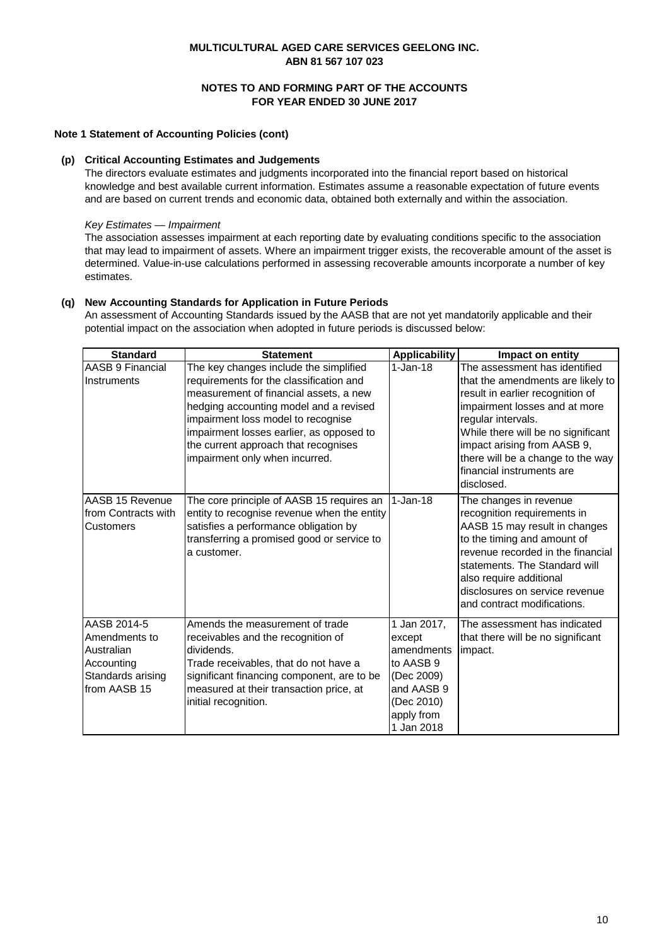### **NOTES TO AND FORMING PART OF THE ACCOUNTS FOR YEAR ENDED 30 JUNE 2017**

#### **Note 1 Statement of Accounting Policies (cont)**

#### **(p) Critical Accounting Estimates and Judgements**

The directors evaluate estimates and judgments incorporated into the financial report based on historical knowledge and best available current information. Estimates assume a reasonable expectation of future events and are based on current trends and economic data, obtained both externally and within the association.

#### *Key Estimates — Impairment*

The association assesses impairment at each reporting date by evaluating conditions specific to the association that may lead to impairment of assets. Where an impairment trigger exists, the recoverable amount of the asset is determined. Value-in-use calculations performed in assessing recoverable amounts incorporate a number of key estimates.

#### **(q) New Accounting Standards for Application in Future Periods**

An assessment of Accounting Standards issued by the AASB that are not yet mandatorily applicable and their potential impact on the association when adopted in future periods is discussed below:

| <b>Standard</b>                   | <b>Statement</b>                                                                      | <b>Applicability</b>     | Impact on entity                                                      |
|-----------------------------------|---------------------------------------------------------------------------------------|--------------------------|-----------------------------------------------------------------------|
| AASB 9 Financial                  | The key changes include the simplified                                                | $1-Jan-18$               | The assessment has identified                                         |
| Instruments                       | requirements for the classification and<br>measurement of financial assets, a new     |                          | that the amendments are likely to<br>result in earlier recognition of |
|                                   | hedging accounting model and a revised                                                |                          | impairment losses and at more                                         |
|                                   | impairment loss model to recognise                                                    |                          | regular intervals.                                                    |
|                                   | impairment losses earlier, as opposed to                                              |                          | While there will be no significant                                    |
|                                   | the current approach that recognises                                                  |                          | impact arising from AASB 9,                                           |
|                                   | impairment only when incurred.                                                        |                          | there will be a change to the way                                     |
|                                   |                                                                                       |                          | financial instruments are<br>disclosed.                               |
| AASB 15 Revenue                   | The core principle of AASB 15 requires an                                             | $1-$ Jan-18              | The changes in revenue                                                |
| from Contracts with               | entity to recognise revenue when the entity                                           |                          | recognition requirements in                                           |
| Customers                         | satisfies a performance obligation by                                                 |                          | AASB 15 may result in changes                                         |
|                                   | transferring a promised good or service to                                            |                          | to the timing and amount of                                           |
|                                   | a customer.                                                                           |                          | revenue recorded in the financial                                     |
|                                   |                                                                                       |                          | statements. The Standard will                                         |
|                                   |                                                                                       |                          | also require additional<br>disclosures on service revenue             |
|                                   |                                                                                       |                          | and contract modifications.                                           |
|                                   |                                                                                       |                          |                                                                       |
| AASB 2014-5                       | Amends the measurement of trade                                                       | 1 Jan 2017,              | The assessment has indicated                                          |
| Amendments to                     | receivables and the recognition of                                                    | except                   | that there will be no significant                                     |
| Australian                        | dividends.                                                                            | amendments               | impact.                                                               |
| Accounting                        | Trade receivables, that do not have a                                                 | to AASB 9                |                                                                       |
| Standards arising<br>from AASB 15 | significant financing component, are to be<br>measured at their transaction price, at | (Dec 2009)<br>and AASB 9 |                                                                       |
|                                   | initial recognition.                                                                  | (Dec 2010)               |                                                                       |
|                                   |                                                                                       | apply from               |                                                                       |
|                                   |                                                                                       | 1 Jan 2018               |                                                                       |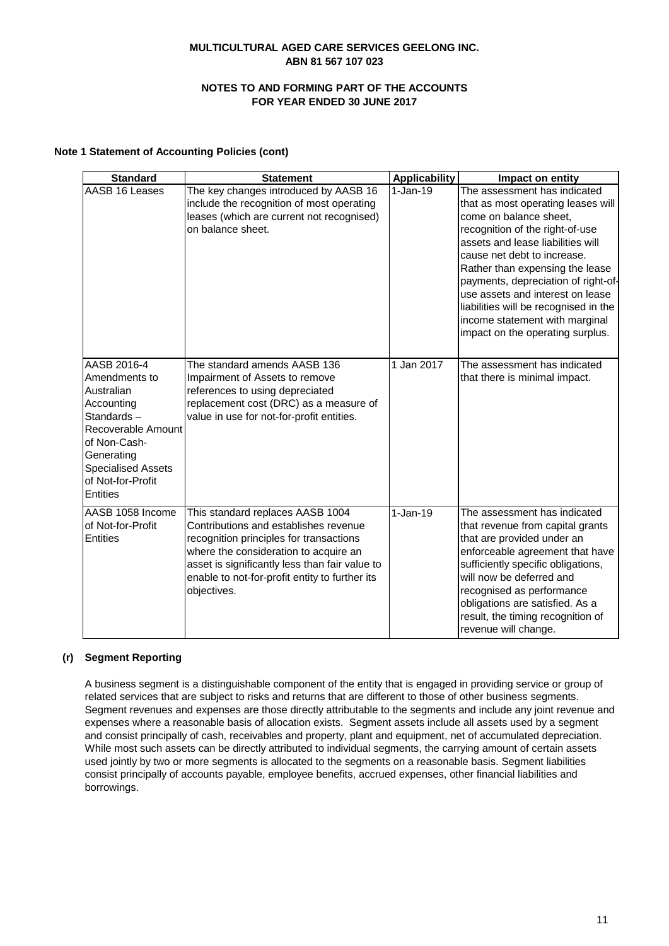### **NOTES TO AND FORMING PART OF THE ACCOUNTS FOR YEAR ENDED 30 JUNE 2017**

#### **Note 1 Statement of Accounting Policies (cont)**

| <b>Standard</b>                                                                                                                                                                                 | <b>Statement</b>                                                                                                                                                                                                                                                                 | <b>Applicability</b> | Impact on entity                                                                                                                                                                                                                                                                                                                                                                                                                 |
|-------------------------------------------------------------------------------------------------------------------------------------------------------------------------------------------------|----------------------------------------------------------------------------------------------------------------------------------------------------------------------------------------------------------------------------------------------------------------------------------|----------------------|----------------------------------------------------------------------------------------------------------------------------------------------------------------------------------------------------------------------------------------------------------------------------------------------------------------------------------------------------------------------------------------------------------------------------------|
| AASB 16 Leases                                                                                                                                                                                  | The key changes introduced by AASB 16<br>include the recognition of most operating<br>leases (which are current not recognised)<br>on balance sheet.                                                                                                                             | $1-Jan-19$           | The assessment has indicated<br>that as most operating leases will<br>come on balance sheet,<br>recognition of the right-of-use<br>assets and lease liabilities will<br>cause net debt to increase.<br>Rather than expensing the lease<br>payments, depreciation of right-of-<br>use assets and interest on lease<br>liabilities will be recognised in the<br>income statement with marginal<br>impact on the operating surplus. |
| AASB 2016-4<br>Amendments to<br>Australian<br>Accounting<br>Standards-<br>Recoverable Amount<br>of Non-Cash-<br>Generating<br><b>Specialised Assets</b><br>of Not-for-Profit<br><b>Entities</b> | The standard amends AASB 136<br>Impairment of Assets to remove<br>references to using depreciated<br>replacement cost (DRC) as a measure of<br>value in use for not-for-profit entities.                                                                                         | 1 Jan 2017           | The assessment has indicated<br>that there is minimal impact.                                                                                                                                                                                                                                                                                                                                                                    |
| AASB 1058 Income<br>of Not-for-Profit<br><b>Entities</b>                                                                                                                                        | This standard replaces AASB 1004<br>Contributions and establishes revenue<br>recognition principles for transactions<br>where the consideration to acquire an<br>asset is significantly less than fair value to<br>enable to not-for-profit entity to further its<br>objectives. | $1-Jan-19$           | The assessment has indicated<br>that revenue from capital grants<br>that are provided under an<br>enforceable agreement that have<br>sufficiently specific obligations,<br>will now be deferred and<br>recognised as performance<br>obligations are satisfied. As a<br>result, the timing recognition of<br>revenue will change.                                                                                                 |

### **(r) Segment Reporting**

A business segment is a distinguishable component of the entity that is engaged in providing service or group of related services that are subject to risks and returns that are different to those of other business segments. Segment revenues and expenses are those directly attributable to the segments and include any joint revenue and expenses where a reasonable basis of allocation exists. Segment assets include all assets used by a segment and consist principally of cash, receivables and property, plant and equipment, net of accumulated depreciation. While most such assets can be directly attributed to individual segments, the carrying amount of certain assets used jointly by two or more segments is allocated to the segments on a reasonable basis. Segment liabilities consist principally of accounts payable, employee benefits, accrued expenses, other financial liabilities and borrowings.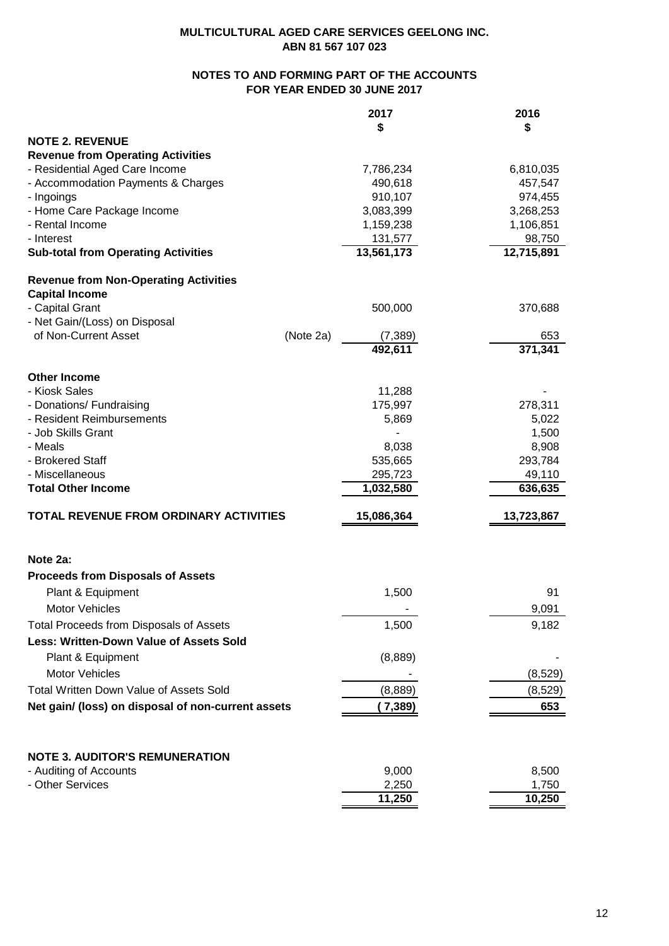# **NOTES TO AND FORMING PART OF THE ACCOUNTS FOR YEAR ENDED 30 JUNE 2017**

|                                                    | 2017           | 2016           |
|----------------------------------------------------|----------------|----------------|
|                                                    | \$             | \$             |
| <b>NOTE 2. REVENUE</b>                             |                |                |
| <b>Revenue from Operating Activities</b>           |                |                |
| - Residential Aged Care Income                     | 7,786,234      | 6,810,035      |
| - Accommodation Payments & Charges                 | 490,618        | 457,547        |
| - Ingoings                                         | 910,107        | 974,455        |
| - Home Care Package Income                         | 3,083,399      | 3,268,253      |
| - Rental Income                                    | 1,159,238      | 1,106,851      |
| - Interest                                         | 131,577        | 98,750         |
| <b>Sub-total from Operating Activities</b>         | 13,561,173     | 12,715,891     |
| <b>Revenue from Non-Operating Activities</b>       |                |                |
| <b>Capital Income</b>                              |                |                |
| - Capital Grant                                    | 500,000        | 370,688        |
| - Net Gain/(Loss) on Disposal                      |                |                |
| of Non-Current Asset<br>(Note 2a)                  | (7, 389)       | 653            |
|                                                    | 492,611        | 371,341        |
| <b>Other Income</b>                                |                |                |
| - Kiosk Sales                                      | 11,288         |                |
| - Donations/ Fundraising                           | 175,997        | 278,311        |
| - Resident Reimbursements                          | 5,869          | 5,022          |
| - Job Skills Grant                                 |                | 1,500          |
| - Meals                                            | 8,038          | 8,908          |
| - Brokered Staff                                   | 535,665        | 293,784        |
| - Miscellaneous                                    | 295,723        | 49,110         |
| <b>Total Other Income</b>                          | 1,032,580      | 636,635        |
| TOTAL REVENUE FROM ORDINARY ACTIVITIES             | 15,086,364     | 13,723,867     |
|                                                    |                |                |
| Note 2a:                                           |                |                |
| <b>Proceeds from Disposals of Assets</b>           |                |                |
| Plant & Equipment                                  | 1,500          | 91             |
| Motor Vehicles                                     |                | 9,091          |
| <b>Total Proceeds from Disposals of Assets</b>     | 1,500          | 9,182          |
| <b>Less: Written-Down Value of Assets Sold</b>     |                |                |
| Plant & Equipment                                  | (8,889)        |                |
| <b>Motor Vehicles</b>                              |                | (8,529)        |
| Total Written Down Value of Assets Sold            | (8,889)        | (8,529)        |
|                                                    |                |                |
| Net gain/ (loss) on disposal of non-current assets | (7, 389)       | 653            |
|                                                    |                |                |
| <b>NOTE 3. AUDITOR'S REMUNERATION</b>              |                |                |
| - Auditing of Accounts<br>- Other Services         | 9,000<br>2,250 | 8,500<br>1,750 |
|                                                    | 11,250         | 10,250         |
|                                                    |                |                |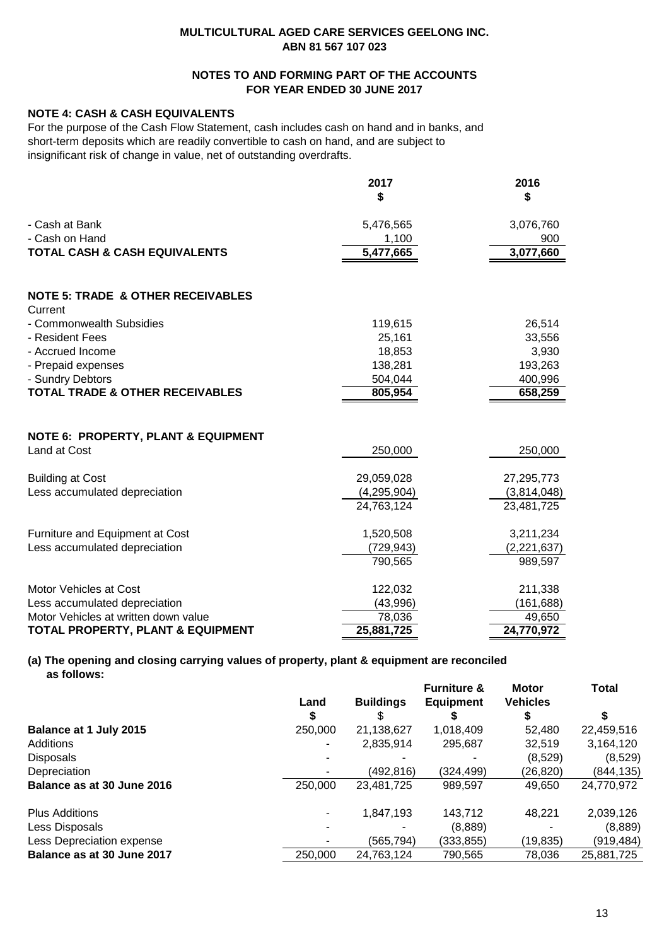# **NOTES TO AND FORMING PART OF THE ACCOUNTS FOR YEAR ENDED 30 JUNE 2017**

# **NOTE 4: CASH & CASH EQUIVALENTS**

For the purpose of the Cash Flow Statement, cash includes cash on hand and in banks, and short-term deposits which are readily convertible to cash on hand, and are subject to insignificant risk of change in value, net of outstanding overdrafts.

|                                                         | 2017        | 2016        |
|---------------------------------------------------------|-------------|-------------|
|                                                         | \$          | \$          |
| - Cash at Bank                                          | 5,476,565   | 3,076,760   |
| - Cash on Hand                                          | 1,100       | 900         |
| <b>TOTAL CASH &amp; CASH EQUIVALENTS</b>                | 5,477,665   | 3,077,660   |
| <b>NOTE 5: TRADE &amp; OTHER RECEIVABLES</b><br>Current |             |             |
| - Commonwealth Subsidies                                | 119,615     | 26,514      |
| - Resident Fees                                         | 25,161      | 33,556      |
| - Accrued Income                                        | 18,853      | 3,930       |
| - Prepaid expenses                                      | 138,281     | 193,263     |
| - Sundry Debtors                                        | 504,044     | 400,996     |
| <b>TOTAL TRADE &amp; OTHER RECEIVABLES</b>              | 805,954     | 658,259     |
| <b>NOTE 6: PROPERTY, PLANT &amp; EQUIPMENT</b>          |             |             |
| Land at Cost                                            | 250,000     | 250,000     |
| <b>Building at Cost</b>                                 | 29,059,028  | 27,295,773  |
| Less accumulated depreciation                           | (4,295,904) | (3,814,048) |
|                                                         | 24,763,124  | 23,481,725  |
| Furniture and Equipment at Cost                         | 1,520,508   | 3,211,234   |
| Less accumulated depreciation                           | (729, 943)  | (2,221,637) |
|                                                         | 790,565     | 989,597     |
| Motor Vehicles at Cost                                  | 122,032     | 211,338     |
| Less accumulated depreciation                           | (43,996)    | (161, 688)  |
| Motor Vehicles at written down value                    | 78,036      | 49,650      |
| <b>TOTAL PROPERTY, PLANT &amp; EQUIPMENT</b>            | 25,881,725  | 24,770,972  |

# **(a) The opening and closing carrying values of property, plant & equipment are reconciled as follows:**

|                                  |           |                  | <b>Furniture &amp;</b> | Motor<br><b>Vehicles</b> | Total      |
|----------------------------------|-----------|------------------|------------------------|--------------------------|------------|
|                                  | Land<br>S | <b>Buildings</b> | Equipment              |                          |            |
| Balance at 1 July 2015           | 250,000   | 21,138,627       | 1,018,409              | 52,480                   | 22,459,516 |
| <b>Additions</b>                 | ۰         | 2,835,914        | 295,687                | 32,519                   | 3,164,120  |
| <b>Disposals</b>                 |           |                  |                        | (8,529)                  | (8,529)    |
| Depreciation                     |           | (492, 816)       | (324,499)              | (26,820)                 | (844, 135) |
| Balance as at 30 June 2016       | 250,000   | 23,481,725       | 989,597                | 49,650                   | 24,770,972 |
| <b>Plus Additions</b>            | ۰         | 1,847,193        | 143.712                | 48.221                   | 2,039,126  |
| Less Disposals                   |           |                  | (8,889)                |                          | (8,889)    |
| <b>Less Depreciation expense</b> |           | (565,794)        | (333,855)              | (19,835)                 | (919, 484) |
| Balance as at 30 June 2017       | 250,000   | 24,763,124       | 790,565                | 78,036                   | 25,881,725 |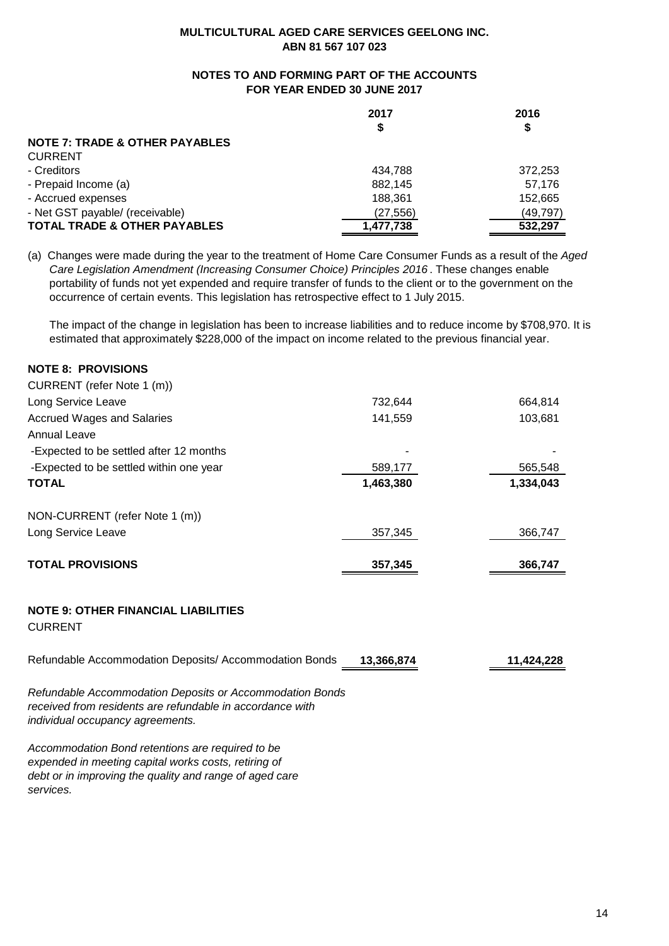# **NOTES TO AND FORMING PART OF THE ACCOUNTS FOR YEAR ENDED 30 JUNE 2017**

|                                           | 2017      | 2016      |  |
|-------------------------------------------|-----------|-----------|--|
|                                           | \$        | \$        |  |
| <b>NOTE 7: TRADE &amp; OTHER PAYABLES</b> |           |           |  |
| <b>CURRENT</b>                            |           |           |  |
| - Creditors                               | 434.788   | 372,253   |  |
| - Prepaid Income (a)                      | 882,145   | 57.176    |  |
| - Accrued expenses                        | 188,361   | 152,665   |  |
| - Net GST payable/ (receivable)           | (27, 556) | (49, 797) |  |
| <b>TOTAL TRADE &amp; OTHER PAYABLES</b>   | 1,477,738 | 532.297   |  |

(a) Changes were made during the year to the treatment of Home Care Consumer Funds as a result of the *Aged Care Legislation Amendment (Increasing Consumer Choice) Principles 2016* . These changes enable portability of funds not yet expended and require transfer of funds to the client or to the government on the occurrence of certain events. This legislation has retrospective effect to 1 July 2015.

 The impact of the change in legislation has been to increase liabilities and to reduce income by \$708,970. It is estimated that approximately \$228,000 of the impact on income related to the previous financial year.

# **NOTE 8: PROVISIONS**

| <b>TOTAL PROVISIONS</b>                 | 357.345   | 366.747   |  |
|-----------------------------------------|-----------|-----------|--|
| Long Service Leave                      | 357,345   | 366,747   |  |
| NON-CURRENT (refer Note 1 (m))          |           |           |  |
| <b>TOTAL</b>                            | 1,463,380 | 1,334,043 |  |
| -Expected to be settled within one year | 589,177   | 565,548   |  |
| -Expected to be settled after 12 months |           |           |  |
| Annual Leave                            |           |           |  |
| <b>Accrued Wages and Salaries</b>       | 141,559   | 103,681   |  |
| Long Service Leave                      | 732.644   | 664,814   |  |
| CURRENT (refer Note 1 (m))              |           |           |  |

### **NOTE 9: OTHER FINANCIAL LIABILITIES**

CURRENT

| Refundable Accommodation Deposits/ Accommodation Bonds 13,366,874 | 11,424,228 |
|-------------------------------------------------------------------|------------|
|                                                                   |            |

*Refundable Accommodation Deposits or Accommodation Bonds received from residents are refundable in accordance with individual occupancy agreements.*

*Accommodation Bond retentions are required to be expended in meeting capital works costs, retiring of debt or in improving the quality and range of aged care services.*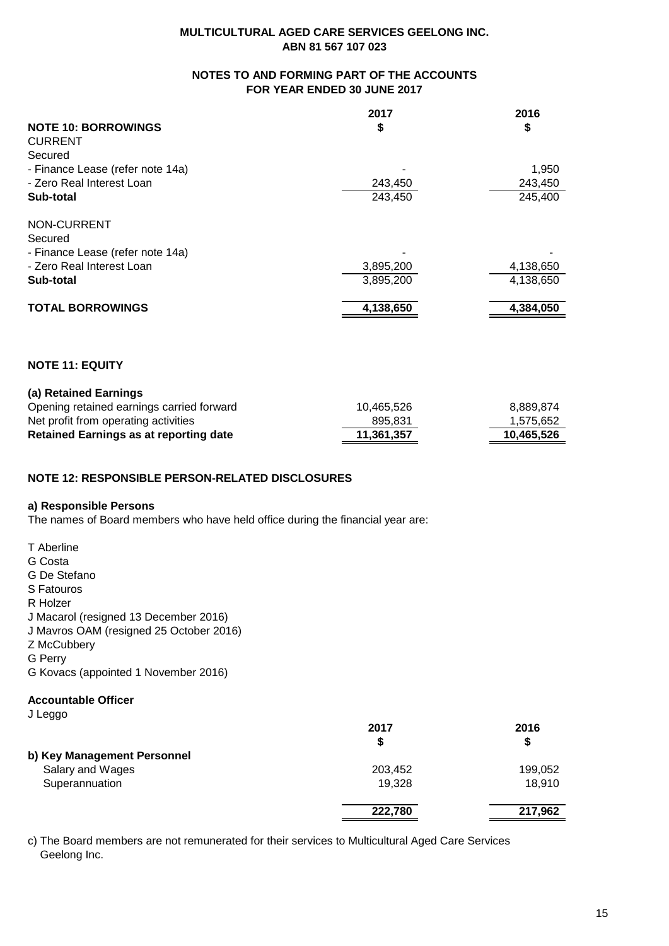# **NOTES TO AND FORMING PART OF THE ACCOUNTS FOR YEAR ENDED 30 JUNE 2017**

|                                  | 2017      | 2016      |
|----------------------------------|-----------|-----------|
| <b>NOTE 10: BORROWINGS</b>       | \$        | \$        |
| <b>CURRENT</b>                   |           |           |
| Secured                          |           |           |
| - Finance Lease (refer note 14a) |           | 1,950     |
| - Zero Real Interest Loan        | 243,450   | 243,450   |
| Sub-total                        | 243,450   | 245,400   |
| NON-CURRENT                      |           |           |
| Secured                          |           |           |
| - Finance Lease (refer note 14a) |           |           |
| - Zero Real Interest Loan        | 3,895,200 | 4,138,650 |
| Sub-total                        | 3,895,200 | 4,138,650 |
| <b>TOTAL BORROWINGS</b>          | 4,138,650 | 4,384,050 |
|                                  |           |           |

# **NOTE 11: EQUITY**

| (a) Retained Earnings |  |
|-----------------------|--|
|                       |  |

| Retained Earnings as at reporting date    | 11.361.357 | 10.465.526 |
|-------------------------------------------|------------|------------|
| Net profit from operating activities      | 895.831    | 1,575,652  |
| Opening retained earnings carried forward | 10.465.526 | 8.889.874  |

# **NOTE 12: RESPONSIBLE PERSON-RELATED DISCLOSURES**

# **a) Responsible Persons**

The names of Board members who have held office during the financial year are:

|  | T Aberline |
|--|------------|
|--|------------|

- G Costa
- G De Stefano
- S Fatouros
- R Holzer
- J Macarol (resigned 13 December 2016)
- J Mavros OAM (resigned 25 October 2016)
- Z McCubbery
- G Perry
- G Kovacs (appointed 1 November 2016)

# **Accountable Officer**

J Leggo

| ັ                           | 2017    | 2016    |
|-----------------------------|---------|---------|
|                             | S       | \$      |
| b) Key Management Personnel |         |         |
| Salary and Wages            | 203,452 | 199,052 |
| Superannuation              | 19,328  | 18.910  |
|                             | 222,780 | 217,962 |

c) The Board members are not remunerated for their services to Multicultural Aged Care Services Geelong Inc.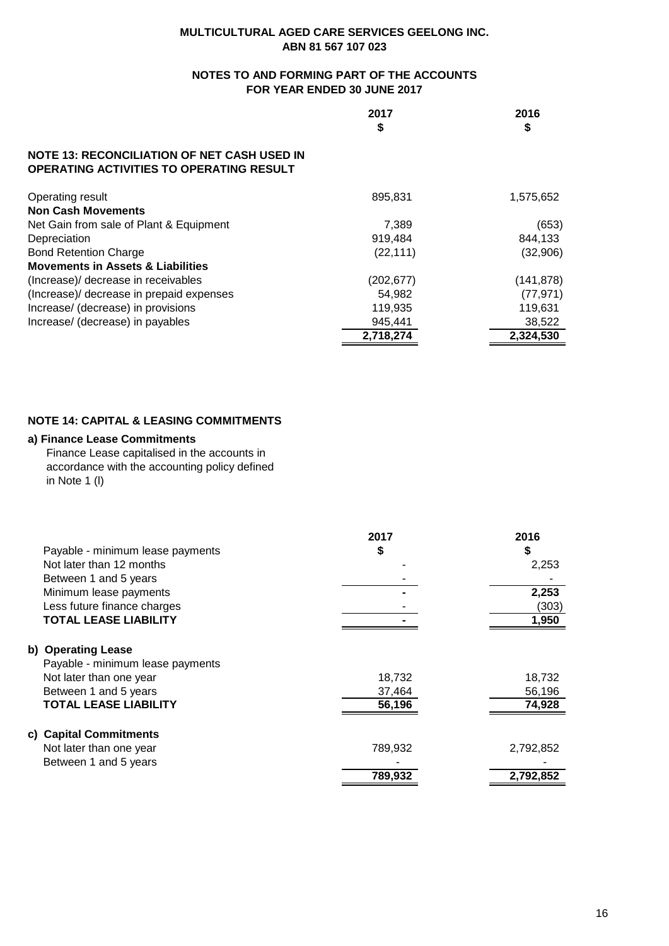# **NOTES TO AND FORMING PART OF THE ACCOUNTS FOR YEAR ENDED 30 JUNE 2017**

|                                                                                                       | 2017<br>\$ | 2016<br>\$ |
|-------------------------------------------------------------------------------------------------------|------------|------------|
| <b>NOTE 13: RECONCILIATION OF NET CASH USED IN</b><br><b>OPERATING ACTIVITIES TO OPERATING RESULT</b> |            |            |
| Operating result                                                                                      | 895.831    | 1,575,652  |
| <b>Non Cash Movements</b>                                                                             |            |            |
| Net Gain from sale of Plant & Equipment                                                               | 7.389      | (653)      |
| Depreciation                                                                                          | 919,484    | 844,133    |
| <b>Bond Retention Charge</b>                                                                          | (22, 111)  | (32,906)   |
| <b>Movements in Assets &amp; Liabilities</b>                                                          |            |            |
| (Increase)/ decrease in receivables                                                                   | (202, 677) | (141, 878) |
| (Increase)/ decrease in prepaid expenses                                                              | 54,982     | (77, 971)  |
| Increase/ (decrease) in provisions                                                                    | 119,935    | 119,631    |
| Increase/ (decrease) in payables                                                                      | 945,441    | 38,522     |
|                                                                                                       | 2,718,274  | 2.324.530  |

# **NOTE 14: CAPITAL & LEASING COMMITMENTS**

# **a) Finance Lease Commitments**

Finance Lease capitalised in the accounts in accordance with the accounting policy defined in Note 1 (l)

|                                  | 2017    | 2016      |
|----------------------------------|---------|-----------|
| Payable - minimum lease payments | S       | S         |
| Not later than 12 months         |         | 2,253     |
| Between 1 and 5 years            |         |           |
| Minimum lease payments           |         | 2,253     |
| Less future finance charges      |         | (303)     |
| <b>TOTAL LEASE LIABILITY</b>     |         | 1,950     |
| b) Operating Lease               |         |           |
| Payable - minimum lease payments |         |           |
| Not later than one year          | 18,732  | 18,732    |
| Between 1 and 5 years            | 37,464  | 56,196    |
| <b>TOTAL LEASE LIABILITY</b>     | 56,196  | 74,928    |
| c) Capital Commitments           |         |           |
| Not later than one year          | 789,932 | 2,792,852 |
| Between 1 and 5 years            |         |           |
|                                  | 789,932 | 2,792,852 |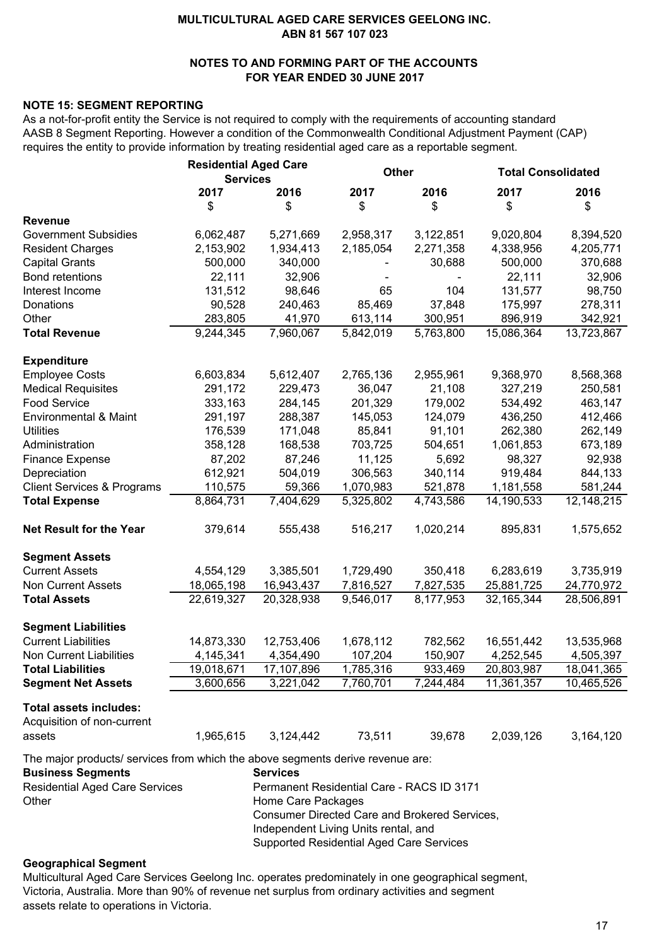# **NOTES TO AND FORMING PART OF THE ACCOUNTS FOR YEAR ENDED 30 JUNE 2017**

# **NOTE 15: SEGMENT REPORTING**

As a not-for-profit entity the Service is not required to comply with the requirements of accounting standard AASB 8 Segment Reporting. However a condition of the Commonwealth Conditional Adjustment Payment (CAP) requires the entity to provide information by treating residential aged care as a reportable segment.

|                                                                                                            | <b>Residential Aged Care</b><br><b>Services</b> |                                           | <b>Other</b> |           | <b>Total Consolidated</b> |            |  |
|------------------------------------------------------------------------------------------------------------|-------------------------------------------------|-------------------------------------------|--------------|-----------|---------------------------|------------|--|
|                                                                                                            | 2017                                            | 2016                                      | 2017         | 2016      | 2017                      | 2016       |  |
|                                                                                                            | \$                                              | \$                                        | \$           | \$        | \$                        | \$         |  |
| <b>Revenue</b>                                                                                             |                                                 |                                           |              |           |                           |            |  |
| <b>Government Subsidies</b>                                                                                | 6,062,487                                       | 5,271,669                                 | 2,958,317    | 3,122,851 | 9,020,804                 | 8,394,520  |  |
| <b>Resident Charges</b>                                                                                    | 2,153,902                                       | 1,934,413                                 | 2,185,054    | 2,271,358 | 4,338,956                 | 4,205,771  |  |
| <b>Capital Grants</b>                                                                                      | 500,000                                         | 340,000                                   |              | 30,688    | 500,000                   | 370,688    |  |
| <b>Bond retentions</b>                                                                                     | 22,111                                          | 32,906                                    |              |           | 22,111                    | 32,906     |  |
| Interest Income                                                                                            | 131,512                                         | 98,646                                    | 65           | 104       | 131,577                   | 98,750     |  |
| Donations                                                                                                  | 90,528                                          | 240,463                                   | 85,469       | 37,848    | 175,997                   | 278,311    |  |
| Other                                                                                                      | 283,805                                         | 41,970                                    | 613,114      | 300,951   | 896,919                   | 342,921    |  |
| <b>Total Revenue</b>                                                                                       | 9,244,345                                       | 7,960,067                                 | 5,842,019    | 5,763,800 | 15,086,364                | 13,723,867 |  |
| <b>Expenditure</b>                                                                                         |                                                 |                                           |              |           |                           |            |  |
| <b>Employee Costs</b>                                                                                      | 6,603,834                                       | 5,612,407                                 | 2,765,136    | 2,955,961 | 9,368,970                 | 8,568,368  |  |
| <b>Medical Requisites</b>                                                                                  | 291,172                                         | 229,473                                   | 36,047       | 21,108    | 327,219                   | 250,581    |  |
| <b>Food Service</b>                                                                                        | 333,163                                         | 284,145                                   | 201,329      | 179,002   | 534,492                   | 463,147    |  |
| <b>Environmental &amp; Maint</b>                                                                           | 291,197                                         | 288,387                                   | 145,053      | 124,079   | 436,250                   | 412,466    |  |
| <b>Utilities</b>                                                                                           | 176,539                                         | 171,048                                   | 85,841       | 91,101    | 262,380                   | 262,149    |  |
| Administration                                                                                             | 358,128                                         | 168,538                                   | 703,725      | 504,651   | 1,061,853                 | 673,189    |  |
| <b>Finance Expense</b>                                                                                     | 87,202                                          | 87,246                                    | 11,125       | 5,692     | 98,327                    | 92,938     |  |
| Depreciation                                                                                               | 612,921                                         | 504,019                                   | 306,563      | 340,114   | 919,484                   | 844,133    |  |
| <b>Client Services &amp; Programs</b>                                                                      | 110,575                                         | 59,366                                    | 1,070,983    | 521,878   | 1,181,558                 | 581,244    |  |
| <b>Total Expense</b>                                                                                       | 8,864,731                                       | 7,404,629                                 | 5,325,802    | 4,743,586 | 14,190,533                | 12,148,215 |  |
| <b>Net Result for the Year</b>                                                                             | 379,614                                         | 555,438                                   | 516,217      | 1,020,214 | 895,831                   | 1,575,652  |  |
| <b>Segment Assets</b>                                                                                      |                                                 |                                           |              |           |                           |            |  |
| <b>Current Assets</b>                                                                                      | 4,554,129                                       | 3,385,501                                 | 1,729,490    | 350,418   | 6,283,619                 | 3,735,919  |  |
| <b>Non Current Assets</b>                                                                                  | 18,065,198                                      | 16,943,437                                | 7,816,527    | 7,827,535 | 25,881,725                | 24,770,972 |  |
| <b>Total Assets</b>                                                                                        | 22,619,327                                      | 20,328,938                                | 9,546,017    | 8,177,953 | 32, 165, 344              | 28,506,891 |  |
| <b>Segment Liabilities</b>                                                                                 |                                                 |                                           |              |           |                           |            |  |
| <b>Current Liabilities</b>                                                                                 | 14,873,330                                      | 12,753,406                                | 1,678,112    | 782,562   | 16,551,442                | 13,535,968 |  |
| <b>Non Current Liabilities</b>                                                                             | 4,145,341                                       | 4,354,490                                 | 107,204      | 150,907   | 4,252,545                 | 4,505,397  |  |
| <b>Total Liabilities</b>                                                                                   | 19,018,671                                      | 17,107,896                                | 1,785,316    | 933,469   | 20,803,987                | 18,041,365 |  |
| <b>Segment Net Assets</b>                                                                                  | 3,600,656                                       | 3,221,042                                 | 7,760,701    | 7,244,484 | 11,361,357                | 10,465,526 |  |
| <b>Total assets includes:</b><br>Acquisition of non-current                                                |                                                 |                                           |              |           |                           |            |  |
| assets                                                                                                     | 1,965,615                                       | 3,124,442                                 | 73,511       | 39,678    | 2,039,126                 | 3,164,120  |  |
| The major products/ services from which the above segments derive revenue are:<br><b>Business Segments</b> |                                                 | <b>Services</b>                           |              |           |                           |            |  |
| <b>Residential Aged Care Services</b>                                                                      |                                                 | Permanent Residential Care - RACS ID 3171 |              |           |                           |            |  |
| Other                                                                                                      |                                                 | Home Care Packages                        |              |           |                           |            |  |

### Consumer Directed Care and Brokered Services, Independent Living Units rental, and

# Supported Residential Aged Care Services

# **Geographical Segment**

Multicultural Aged Care Services Geelong Inc. operates predominately in one geographical segment, Victoria, Australia. More than 90% of revenue net surplus from ordinary activities and segment assets relate to operations in Victoria.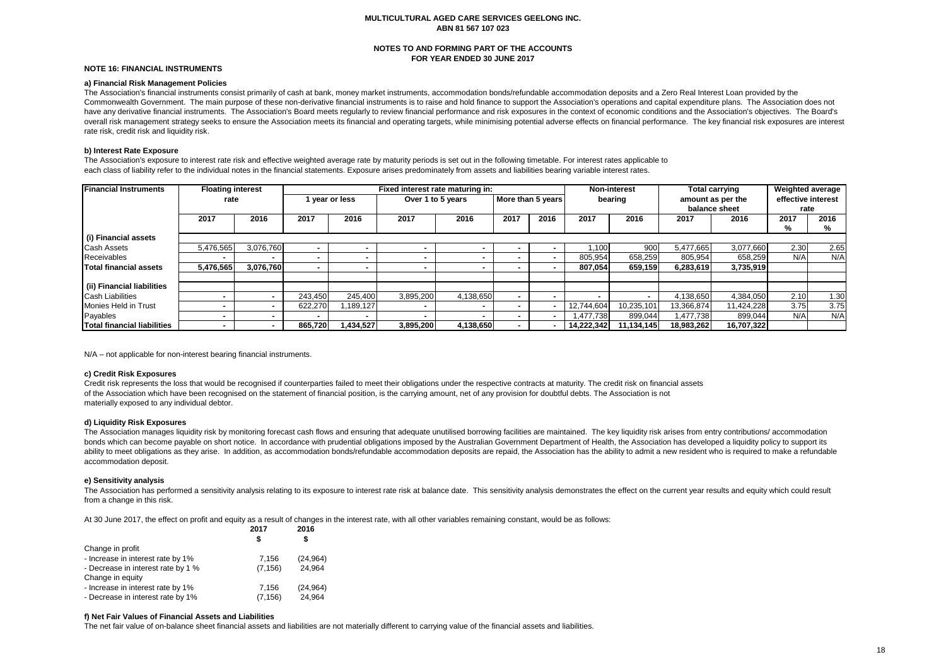#### **NOTES TO AND FORMING PART OF THE ACCOUNTS FOR YEAR ENDED 30 JUNE 2017**

#### **NOTE 16: FINANCIAL INSTRUMENTS**

#### **a) Financial Risk Management Policies**

The Association's financial instruments consist primarily of cash at bank, money market instruments, accommodation bonds/refundable accommodation deposits and a Zero Real Interest Loan provided by the Commonwealth Government. The main purpose of these non-derivative financial instruments is to raise and hold finance to support the Association's operations and capital expenditure plans. The Association does not have any derivative financial instruments. The Association's Board meets regularly to review financial performance and risk exposures in the context of economic conditions and the Association's objectives. The Board's overall risk management strategy seeks to ensure the Association meets its financial and operating targets, while minimising potential adverse effects on financial performance. The key financial risk exposures are interest rate risk, credit risk and liquidity risk.

#### **b) Interest Rate Exposure**

The Association's exposure to interest rate risk and effective weighted average rate by maturity periods is set out in the following timetable. For interest rates applicable to each class of liability refer to the individual notes in the financial statements. Exposure arises predominately from assets and liabilities bearing variable interest rates.

| <b>Financial Instruments</b> | <b>Floating interest</b> |           |         |              | Fixed interest rate maturing in:       |           |         |      |                   | <b>Non-interest</b> |                    | <b>Total carrying</b> |      | Weighted average |
|------------------------------|--------------------------|-----------|---------|--------------|----------------------------------------|-----------|---------|------|-------------------|---------------------|--------------------|-----------------------|------|------------------|
|                              | rate                     |           |         | vear or less | More than 5 years<br>Over 1 to 5 years |           | bearing |      | amount as per the |                     | effective interest |                       |      |                  |
|                              |                          |           |         |              |                                        |           |         |      |                   |                     | balance sheet      |                       | rate |                  |
|                              | 2017                     | 2016      | 2017    | 2016         | 2017                                   | 2016      | 2017    | 2016 | 2017              | 2016                | 2017               | 2016                  | 2017 | 2016             |
|                              |                          |           |         |              |                                        |           |         |      |                   |                     |                    |                       | %    | %                |
| (i) Financial assets         |                          |           |         |              |                                        |           |         |      |                   |                     |                    |                       |      |                  |
| <b>Cash Assets</b>           | 5.476.565                | 3.076.760 |         |              |                                        |           |         |      | .100              | 900                 | 5,477,665          | 3,077,660             | 2.30 | 2.65             |
| Receivables                  |                          |           |         |              |                                        | . .       |         |      | 805,954           | 658,259             | 805,954            | 658,259               | N/A  | N/A              |
| Total financial assets       | 5.476.565                | 3.076.760 |         |              |                                        |           |         |      | 807.054           | 659,159             | 6,283,619          | 3,735,919             |      |                  |
|                              |                          |           |         |              |                                        |           |         |      |                   |                     |                    |                       |      |                  |
| (ii) Financial liabilities   |                          |           |         |              |                                        |           |         |      |                   |                     |                    |                       |      |                  |
| <b>Cash Liabilities</b>      |                          |           | 243.450 | 245.400      | 3,895,200                              | 4,138,650 |         |      |                   |                     | 4,138,650          | 4,384,050             | 2.10 | 1.30             |
| Monies Held in Trust         |                          |           | 622,270 | ,189,127     |                                        | . .       |         |      | 12,744,604        | 10,235,101          | 13,366,874         | 11.424.228            | 3.75 | 3.75             |
| Payables                     |                          |           |         |              |                                        | . .       |         |      | 1.477.738         | 899.044             | 1.477.738          | 899,044               | N/A  | N/A              |
| Total financial liabilities  |                          |           | 865.720 | 1,434,527    | 3,895,200                              | 4,138,650 |         |      | 14.222.342        | 11,134,145          | 18,983,262         | 16,707,322            |      |                  |

N/A – not applicable for non-interest bearing financial instruments.

#### **c) Credit Risk Exposures**

Credit risk represents the loss that would be recognised if counterparties failed to meet their obligations under the respective contracts at maturity. The credit risk on financial assets of the Association which have been recognised on the statement of financial position, is the carrying amount, net of any provision for doubtful debts. The Association is not materially exposed to any individual debtor.

#### **d) Liquidity Risk Exposures**

The Association manages liquidity risk by monitoring forecast cash flows and ensuring that adequate unutilised borrowing facilities are maintained. The key liquidity risk arises from entry contributions/ accommodation bonds which can become payable on short notice. In accordance with prudential obligations imposed by the Australian Government Department of Health, the Association has developed a liquidity policy to support its ability to meet obligations as they arise. In addition, as accommodation bonds/refundable accommodation deposits are repaid, the Association has the ability to admit a new resident who is required to make a refundable accommodation deposit.

#### **e) Sensitivity analysis**

The Association has performed a sensitivity analysis relating to its exposure to interest rate risk at balance date. This sensitivity analysis demonstrates the effect on the current year results and equity which could resu from a change in this risk.

At 30 June 2017, the effect on profit and equity as a result of changes in the interest rate, with all other variables remaining constant, would be as follows:

|                                    | 2017     | 2016      |  |
|------------------------------------|----------|-----------|--|
|                                    |          | S         |  |
| Change in profit                   |          |           |  |
| - Increase in interest rate by 1%  | 7,156    | (24, 964) |  |
| - Decrease in interest rate by 1 % | (7, 156) | 24.964    |  |
| Change in equity                   |          |           |  |
| - Increase in interest rate by 1%  | 7.156    | (24.964)  |  |
| - Decrease in interest rate by 1%  | (7, 156) | 24,964    |  |

#### **f) Net Fair Values of Financial Assets and Liabilities**

The net fair value of on-balance sheet financial assets and liabilities are not materially different to carrying value of the financial assets and liabilities.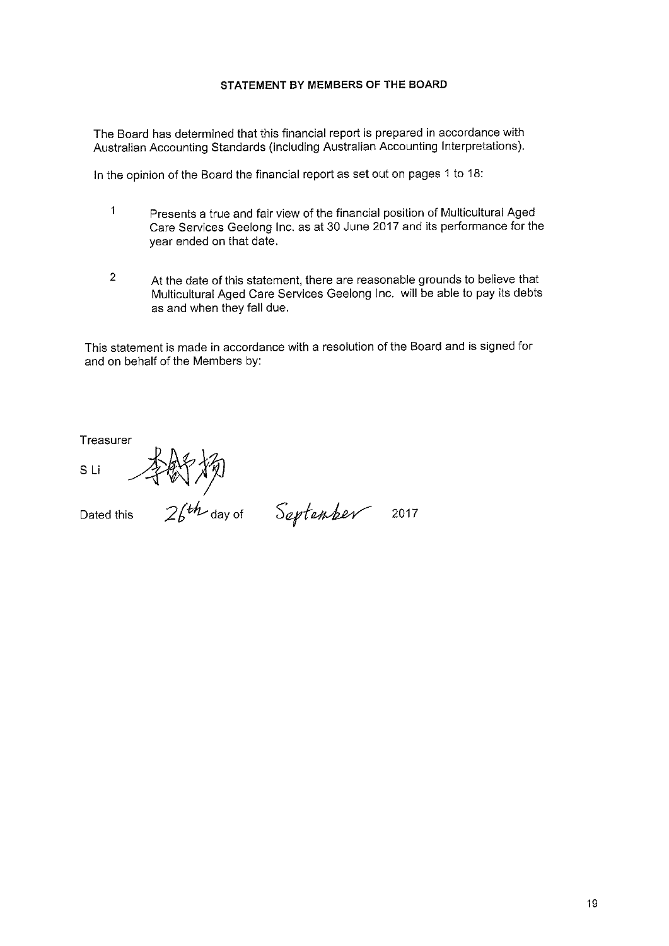# STATEMENT BY MEMBERS OF THE BOARD

The Board has determined that this financial report is prepared in accordance with Australian Accounting Standards (including Australian Accounting Interpretations).

In the opinion of the Board the financial report as set out on pages 1 to 18:

- $\mathbf{1}$ Presents a true and fair view of the financial position of Multicultural Aged Care Services Geelong Inc. as at 30 June 2017 and its performance for the year ended on that date.
- $\overline{2}$ At the date of this statement, there are reasonable grounds to believe that Multicultural Aged Care Services Geelong Inc. will be able to pay its debts as and when they fall due.

This statement is made in accordance with a resolution of the Board and is signed for and on behalf of the Members by:

Treasurer

**SLI** 

Dated this

 $26th$  day of September 2017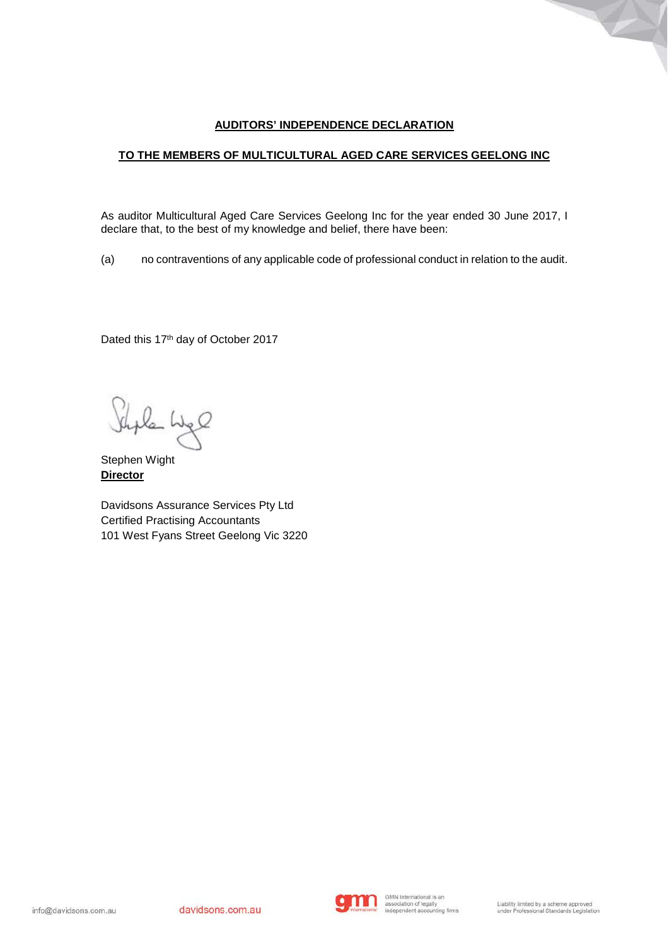# **AUDITORS' INDEPENDENCE DECLARATION**

# **TO THE MEMBERS OF MULTICULTURAL AGED CARE SERVICES GEELONG INC**

As auditor Multicultural Aged Care Services Geelong Inc for the year ended 30 June 2017, I declare that, to the best of my knowledge and belief, there have been:

(a) no contraventions of any applicable code of professional conduct in relation to the audit.

Dated this 17<sup>th</sup> day of October 2017

Shale Lige

Stephen Wight **Director**

Davidsons Assurance Services Pty Ltd Certified Practising Accountants 101 West Fyans Street Geelong Vic 3220

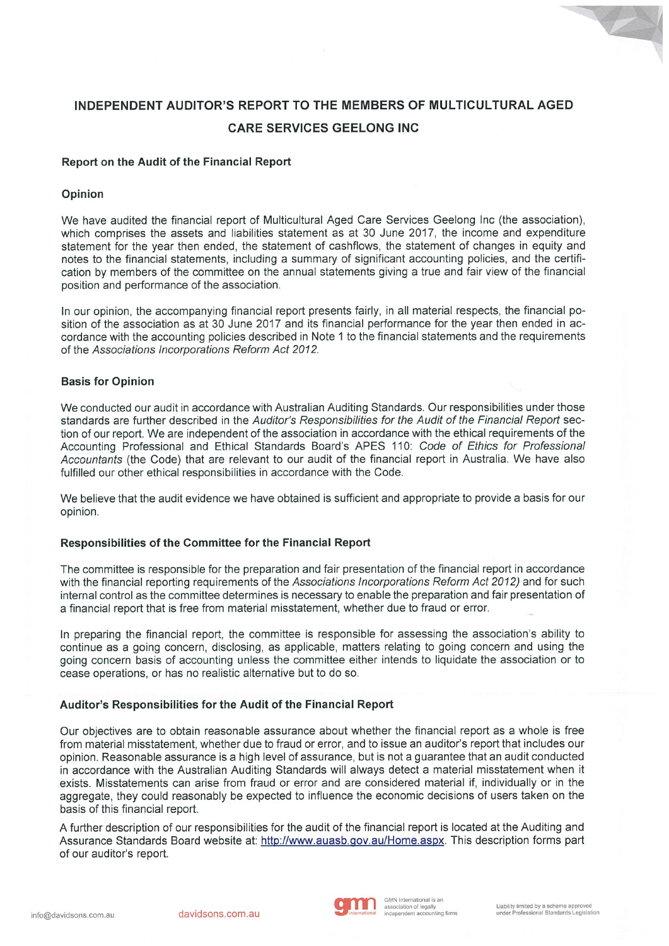# **INDEPENDENT AUDITOR'S REPORT TO THE MEMBERS OF MULTICULTURAL AGED CARE SERVICES GEELONG INC**

### Report on the Audit of the Financial Report

### Opinion

We have audited the financial report of Multicultural Aged Care Services Geelong Inc (the association), which comprises the assets and liabilities statement as at 30 June 2017, the income and expenditure statement for the year then ended, the statement of cashflows, the statement of changes in equity and notes to the financial statements, including a summary of significant accounting policies, and the certification by members of the committee on the annual statements giving a true and fair view of the financial position and performance of the association.

In our opinion, the accompanying financial report presents fairly, in all material respects, the financial position of the association as at 30 June 2017 and its financial performance for the year then ended in accordance with the accounting policies described in Note 1 to the financial statements and the requirements of the Associations Incorporations Reform Act 2012.

### **Basis for Opinion**

We conducted our audit in accordance with Australian Auditing Standards. Our responsibilities under those standards are further described in the Auditor's Responsibilities for the Audit of the Financial Report section of our report. We are independent of the association in accordance with the ethical requirements of the Accounting Professional and Ethical Standards Board's APES 110: Code of Ethics for Professional Accountants (the Code) that are relevant to our audit of the financial report in Australia. We have also fulfilled our other ethical responsibilities in accordance with the Code.

We believe that the audit evidence we have obtained is sufficient and appropriate to provide a basis for our opinion.

# Responsibilities of the Committee for the Financial Report

The committee is responsible for the preparation and fair presentation of the financial report in accordance with the financial reporting requirements of the Associations Incorporations Reform Act 2012) and for such internal control as the committee determines is necessary to enable the preparation and fair presentation of a financial report that is free from material misstatement, whether due to fraud or error.

In preparing the financial report, the committee is responsible for assessing the association's ability to continue as a going concern, disclosing, as applicable, matters relating to going concern and using the going concern basis of accounting unless the committee either intends to liquidate the association or to cease operations, or has no realistic alternative but to do so.

#### Auditor's Responsibilities for the Audit of the Financial Report

Our objectives are to obtain reasonable assurance about whether the financial report as a whole is free from material misstatement, whether due to fraud or error, and to issue an auditor's report that includes our opinion. Reasonable assurance is a high level of assurance, but is not a guarantee that an audit conducted in accordance with the Australian Auditing Standards will always detect a material misstatement when it exists. Misstatements can arise from fraud or error and are considered material if, individually or in the aggregate, they could reasonably be expected to influence the economic decisions of users taken on the basis of this financial report.

A further description of our responsibilities for the audit of the financial report is located at the Auditing and Assurance Standards Board website at: http://www.auasb.gov.au/Home.aspx. This description forms part of our auditor's report.



Z